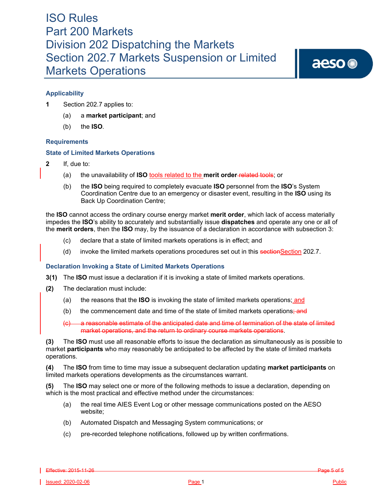aeso<sup>®</sup>

## **Applicability**

- **1** Section 202.7 applies to:
	- (a) a **market participant**; and
	- (b) the **ISO***.*

### **Requirements**

### **State of Limited Markets Operations**

- **2** If, due to:
	- (a) the unavailability of **ISO** tools related to the **merit order** related tools; or
	- (b) the **ISO** being required to completely evacuate **ISO** personnel from the **ISO**'s System Coordination Centre due to an emergency or disaster event, resulting in the **ISO** using its Back Up Coordination Centre;

the **ISO** cannot access the ordinary course energy market **merit order**, which lack of access materially impedes the **ISO**'s ability to accurately and substantially issue **dispatches** and operate any one or all of the **merit orders**, then the **ISO** may, by the issuance of a declaration in accordance with subsection 3:

- (c) declare that a state of limited markets operations is in effect; and
- (d) invoke the limited markets operations procedures set out in this sectionSection 202.7.

### **Declaration Invoking a State of Limited Markets Operations**

- **3(1)** The **ISO** must issue a declaration if it is invoking a state of limited markets operations.
- **(2)** The declaration must include:
	- (a) the reasons that the **ISO** is invoking the state of limited markets operations; and
	- (b) the commencement date and time of the state of limited markets operations; and

(c) a reasonable estimate of the anticipated date and time of termination of the state of limited market operations, and the return to ordinary course markets operations.

**(3)** The **ISO** must use all reasonable efforts to issue the declaration as simultaneously as is possible to market **participants** who may reasonably be anticipated to be affected by the state of limited markets operations.

**(4)** The **ISO** from time to time may issue a subsequent declaration updating **market participants** on limited markets operations developments as the circumstances warrant.

**(5)** The **ISO** may select one or more of the following methods to issue a declaration, depending on which is the most practical and effective method under the circumstances:

- (a) the real time AIES Event Log or other message communications posted on the AESO website;
- (b) Automated Dispatch and Messaging System communications; or
- (c) pre-recorded telephone notifications, followed up by written confirmations.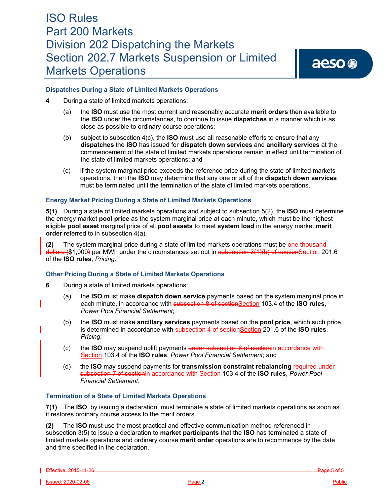aeso<sup>®</sup>

### **Dispatches During a State of Limited Markets Operations**

- **4** During a state of limited markets operations:
	- (a) the **ISO** must use the most current and reasonably accurate **merit orders** then available to the **ISO** under the circumstances, to continue to issue **dispatches** in a manner which is as close as possible to ordinary course operations;
	- (b) subject to subsection 4(c), the **ISO** must use all reasonable efforts to ensure that any **dispatches** the **ISO** has issued for **dispatch down services** and **ancillary services** at the commencement of the state of limited markets operations remain in effect until termination of the state of limited markets operations; and
	- (c) if the system marginal price exceeds the reference price during the state of limited markets operations, then the **ISO** may determine that any one or all of the **dispatch down services**  must be terminated until the termination of the state of limited markets operations.

### **Energy Market Pricing During a State of Limited Markets Operations**

**5(1)** During a state of limited markets operations and subject to subsection 5(2), the **ISO** must determine the energy market **pool price** as the system marginal price at each minute, which must be the highest eligible **pool asset** marginal price of all **pool assets** to meet **system load** in the energy market **merit order** referred to in subsection 4(a).

**(2)** The system marginal price during a state of limited markets operations must be one thousand dollars (\$1,000) per MWh under the circumstances set out in subsection 3(1)(b) of sectionSection 201.6 of the **ISO rules***, Pricing*.

#### **Other Pricing During a State of Limited Markets Operations**

- **6** During a state of limited markets operations:
	- (a) the **ISO** must make **dispatch down service** payments based on the system marginal price in each minute, in accordance with subsection 8 of sectionSection 103.4 of the **ISO rules**, *Power Pool Financial Settlement*;
	- (b) the **ISO** must make **ancillary services** payments based on the **pool price**, which such price is determined in accordance with subsection 4 of sectionSection 201.6 of the **ISO rules**, *Pricing*;
	- (c) the **ISO** may suspend uplift payments under subsection 6 of sectionin accordance with Section 103.4 of the **ISO rules**, *Power Pool Financial Settlement*; and
	- (d) the **ISO** may suspend payments for **transmission constraint rebalancing** required under subsection 7 of sectionin accordance with Section 103.4 of the **ISO rules**, *Power Pool Financial Settlement*.

### **Termination of a State of Limited Markets Operations**

**7(1)** The **ISO**, by issuing a declaration, must terminate a state of limited markets operations as soon as it restores ordinary course access to the merit orders.

**(2)** The **ISO** must use the most practical and effective communication method referenced in subsection 3(5) to issue a declaration to **market participants** that the **ISO** has terminated a state of limited markets operations and ordinary course **merit order** operations are to recommence by the date and time specified in the declaration.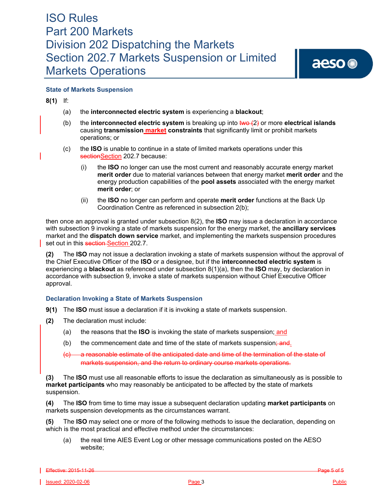## **State of Markets Suspension**

**8(1)** If:

- (a) the **interconnected electric system** is experiencing a **blackout**;
- (b) the **interconnected electric system** is breaking up into two (2) or more **electrical islands**  causing **transmission market constraints** that significantly limit or prohibit markets operations; or
- (c) the **ISO** is unable to continue in a state of limited markets operations under this sectionSection 202.7 because:
	- (i) the **ISO** no longer can use the most current and reasonably accurate energy market **merit order** due to material variances between that energy market **merit order** and the energy production capabilities of the **pool assets** associated with the energy market **merit order**; or
	- (ii) the **ISO** no longer can perform and operate **merit order** functions at the Back Up Coordination Centre as referenced in subsection 2(b);

then once an approval is granted under subsection 8(2), the **ISO** may issue a declaration in accordance with subsection 9 invoking a state of markets suspension for the energy market, the **ancillary services** market and the **dispatch down service** market, and implementing the markets suspension procedures set out in this section-Section 202.7.

**(2)** The **ISO** may not issue a declaration invoking a state of markets suspension without the approval of the Chief Executive Officer of the **ISO** or a designee, but if the **interconnected electric system** is experiencing a **blackout** as referenced under subsection 8(1)(a), then the **ISO** may, by declaration in accordance with subsection 9, invoke a state of markets suspension without Chief Executive Officer approval.

### **Declaration Invoking a State of Markets Suspension**

- **9(1)** The **ISO** must issue a declaration if it is invoking a state of markets suspension.
- **(2)** The declaration must include:
	- (a) the reasons that the **ISO** is invoking the state of markets suspension; and
	- (b) the commencement date and time of the state of markets suspension;  $\frac{1}{2}$
	- a reasonable estimate of the anticipated date and time of the termination of the state of markets suspension, and the return to ordinary course markets operations.

**(3)** The **ISO** must use all reasonable efforts to issue the declaration as simultaneously as is possible to **market participants** who may reasonably be anticipated to be affected by the state of markets suspension.

**(4)** The **ISO** from time to time may issue a subsequent declaration updating **market participants** on markets suspension developments as the circumstances warrant.

**(5)** The **ISO** may select one or more of the following methods to issue the declaration, depending on which is the most practical and effective method under the circumstances:

(a) the real time AIES Event Log or other message communications posted on the AESO website;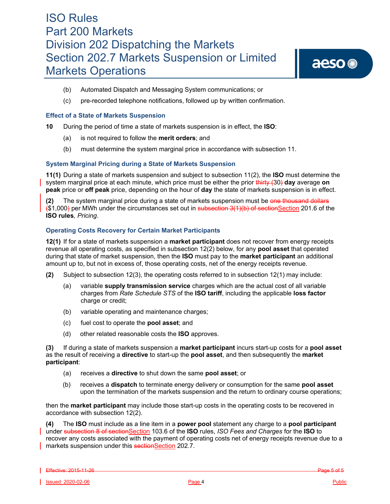- (b) Automated Dispatch and Messaging System communications; or
- (c) pre-recorded telephone notifications, followed up by written confirmation.

#### **Effect of a State of Markets Suspension**

**10** During the period of time a state of markets suspension is in effect, the **ISO**:

- (a) is not required to follow the **merit orders**; and
- (b) must determine the system marginal price in accordance with subsection 11.

#### **System Marginal Pricing during a State of Markets Suspension**

**11(1)** During a state of markets suspension and subject to subsection 11(2), the **ISO** must determine the system marginal price at each minute, which price must be either the prior thirty (30) **day** average **on peak** price or **off peak** price, depending on the hour of **day** the state of markets suspension is in effect.

**(2)** The system marginal price during a state of markets suspension must be one thousand dollars (\$1,000) per MWh under the circumstances set out in subsection 3(1)(b) of sectionSection 201.6 of the **ISO rules***, Pricing*.

#### **Operating Costs Recovery for Certain Market Participants**

**12(1)** If for a state of markets suspension a **market participant** does not recover from energy receipts revenue all operating costs, as specified in subsection 12(2) below, for any **pool asset** that operated during that state of market suspension, then the **ISO** must pay to the **market participant** an additional amount up to, but not in excess of, those operating costs, net of the energy receipts revenue.

- **(2)** Subject to subsection 12(3), the operating costs referred to in subsection 12(1) may include:
	- (a) variable **supply transmission service** charges which are the actual cost of all variable charges from *Rate Schedule STS* of the **ISO tariff**, including the applicable **loss factor** charge or credit;
	- (b) variable operating and maintenance charges;
	- (c) fuel cost to operate the **pool asset**; and
	- (d) other related reasonable costs the **ISO** approves.

**(3)** If during a state of markets suspension a **market participant** incurs start-up costs for a **pool asset** as the result of receiving a **directive** to start-up the **pool asset**, and then subsequently the **market participant**:

- (a) receives a **directive** to shut down the same **pool asset**; or
- (b) receives a **dispatch** to terminate energy delivery or consumption for the same **pool asset**  upon the termination of the markets suspension and the return to ordinary course operations;

then the **market participant** may include those start-up costs in the operating costs to be recovered in accordance with subsection 12(2).

**(4)** The **ISO** must include as a line item in a **power pool** statement any charge to a **pool participant**  under subsection 8 of sectionSection 103.6 of the **ISO** rules, *ISO Fees and Charges* for the **ISO** to recover any costs associated with the payment of operating costs net of energy receipts revenue due to a markets suspension under this sectionSection 202.7.